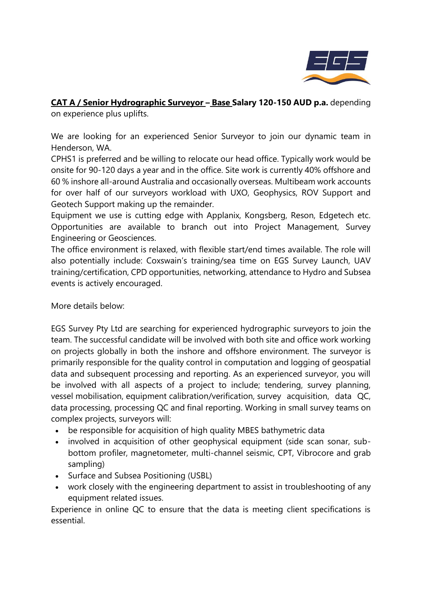

**CAT A / Senior Hydrographic Surveyor – Base Salary 120-150 AUD p.a.** depending on experience plus uplifts.

We are looking for an experienced Senior Surveyor to join our dynamic team in Henderson, WA.

CPHS1 is preferred and be willing to relocate our head office. Typically work would be onsite for 90-120 days a year and in the office. Site work is currently 40% offshore and 60 % inshore all-around Australia and occasionally overseas. Multibeam work accounts for over half of our surveyors workload with UXO, Geophysics, ROV Support and Geotech Support making up the remainder.

Equipment we use is cutting edge with Applanix, Kongsberg, Reson, Edgetech etc. Opportunities are available to branch out into Project Management, Survey Engineering or Geosciences.

The office environment is relaxed, with flexible start/end times available. The role will also potentially include: Coxswain's training/sea time on EGS Survey Launch, UAV training/certification, CPD opportunities, networking, attendance to Hydro and Subsea events is actively encouraged.

More details below:

EGS Survey Pty Ltd are searching for experienced hydrographic surveyors to join the team. The successful candidate will be involved with both site and office work working on projects globally in both the inshore and offshore environment. The surveyor is primarily responsible for the quality control in computation and logging of geospatial data and subsequent processing and reporting. As an experienced surveyor, you will be involved with all aspects of a project to include; tendering, survey planning, vessel mobilisation, equipment calibration/verification, survey acquisition, data QC, data processing, processing QC and final reporting. Working in small survey teams on complex projects, surveyors will:

- be responsible for acquisition of high quality MBES bathymetric data
- involved in acquisition of other geophysical equipment (side scan sonar, subbottom profiler, magnetometer, multi-channel seismic, CPT, Vibrocore and grab sampling)
- Surface and Subsea Positioning (USBL)
- work closely with the engineering department to assist in troubleshooting of any equipment related issues.

Experience in online QC to ensure that the data is meeting client specifications is essential.